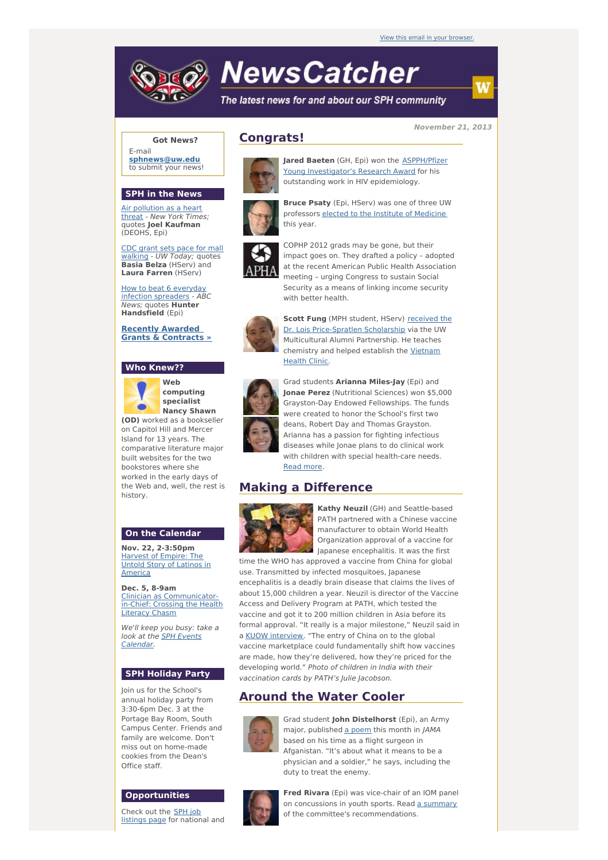

# **NewsCatcher**

with better health.

The latest news for and about our SPH community

#### **November 21, 2013**

**Got News?**

E-mail **[sphnews@uw.edu](mailto:sphnews@uw.edu)** to submit your news!

## **SPH in the News**

Air [pollution](http://engage.washington.edu/site/R?i=ShW5S9xH2xdqR7mW4Da8lA) as a heart threat - New York Times; quotes **Joel Kaufman** (DEOHS, Epi)

CDC grant sets pace for mall [walking](http://engage.washington.edu/site/R?i=gUwewcvVZUFk8rXUwy6BLg) - UW Today; quotes **Basia Belza** (HServ) and **Laura Farren** (HServ)

How to beat 6 everyday infection [spreaders](http://engage.washington.edu/site/R?i=IYwe8m0ll-kfiWpxqNow9w) - ABC News; quotes **Hunter Handsfield** (Epi)

**Recently [Awarded](http://engage.washington.edu/site/R?i=yPK7e2yik9GCuLvGRtC5Xg) Grants & Contracts »**

## **Who Knew??**



**Web computing specialist Nancy Shawn**

**(OD)** worked as a bookseller on Capitol Hill and Mercer Island for 13 years. The comparative literature major built websites for the two bookstores where she worked in the early days of the Web and, well, the rest is history.

## **On the Calendar**

**Nov. 22, 2-3:50pm** [Harvest](http://engage.washington.edu/site/R?i=lcWDnbEqZUZKkrSIzMlM0A) of Empire: The Untold Story of Latinos in America

**Dec. 5, 8-9am** Clinician as [Communicator](http://engage.washington.edu/site/R?i=FGfRP6ZXpgjlAifFyodF9g)in-Chief: Crossing the Health Literacy Chasm

We'll keep you busy: take a look at the **SPH Events** [Calendar.](http://engage.washington.edu/site/R?i=1c27sthYhhEcAKpyJwPIKg)

### **SPH Holiday Party**

Join us for the School's annual holiday party from 3:30-6pm Dec. 3 at the Portage Bay Room, South Campus Center. Friends and family are welcome. Don't miss out on home-made cookies from the Dean's Office staff.

#### **Opportunities**

Check out the SPH job [listings](http://engage.washington.edu/site/R?i=nYG026HKYR0ATn-hrsu5AQ) page for national and



**Jared Baeten** (GH, Epi) won the **ASPPH/Pfizer** Young [Investigator's](http://engage.washington.edu/site/R?i=P5BSF35jLdWJAAOF68KmAg) Research Award for his outstanding work in HIV epidemiology.

**Bruce Psaty** (Epi, HServ) was one of three UW professors elected to the Institute of [Medicine](http://engage.washington.edu/site/R?i=r4UD1d0qf7jJ6kEJFTlHOg) this year.

COPHP 2012 grads may be gone, but their impact goes on. They drafted a policy – adopted at the recent American Public Health Association meeting – urging Congress to sustain Social Security as a means of linking income security





**Scott Fung** (MPH student, HServ) received the Dr. Lois [Price-Spratlen](http://engage.washington.edu/site/R?i=DHjF8stgNhGFdtFAHyVOtg) Scholarship via the UW Multicultural Alumni Partnership. He teaches [chemistry](http://engage.washington.edu/site/R?i=gyA7ebVJ5T_bP2olCDLy_A) and helped establish the Vietnam Health Clinic.



Grad students **Arianna Miles-Jay** (Epi) and **Jonae Perez** (Nutritional Sciences) won \$5,000 Grayston-Day Endowed Fellowships. The funds were created to honor the School's first two deans, Robert Day and Thomas Grayston. Arianna has a passion for fighting infectious diseases while Jonae plans to do clinical work with children with special health-care needs. [Read](http://engage.washington.edu/site/R?i=wdMpKWtEBsrPkSa_nnYWsQ) more.

# **Making a Difference**



**Kathy Neuzil** (GH) and Seattle-based PATH partnered with a Chinese vaccine manufacturer to obtain World Health Organization approval of a vaccine for Japanese encephalitis. It was the first

time the WHO has approved a vaccine from China for global use. Transmitted by infected mosquitoes, Japanese encephalitis is a deadly brain disease that claims the lives of about 15,000 children a year. Neuzil is director of the Vaccine Access and Delivery Program at PATH, which tested the vaccine and got it to 200 million children in Asia before its formal approval. "It really is a major milestone," Neuzil said in a KUOW [interview](http://engage.washington.edu/site/R?i=IQok0apsJVYQ7eWesidqgQ). "The entry of China on to the global vaccine marketplace could fundamentally shift how vaccines are made, how they're delivered, how they're priced for the developing world." Photo of children in India with their vaccination cards by PATH's Julie Jacobson.

# **Around the Water Cooler**



Grad student **John Distelhorst** (Epi), an Army major, published a [poem](http://engage.washington.edu/site/R?i=DlVxPU4p-qfmu-zXJgYLTQ) this month in JAMA based on his time as a flight surgeon in Afganistan. "It's about what it means to be a physician and a soldier," he says, including the duty to treat the enemy.



**Fred Rivara** (Epi) was vice-chair of an IOM panel on concussions in youth sports. Read a [summary](http://engage.washington.edu/site/R?i=8Qi04qNfUb66Z051-hd3fw) of the committee's recommendations.